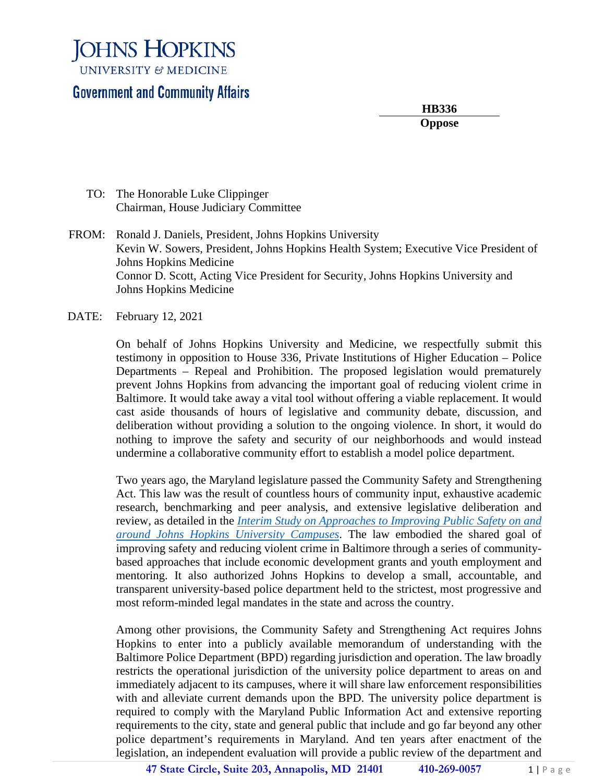**JOHNS HOPKINS UNIVERSITY & MEDICINE** 

#### **Government and Community Affairs**

**HB336 Oppose**

- TO: The Honorable Luke Clippinger Chairman, House Judiciary Committee
- FROM: Ronald J. Daniels, President, Johns Hopkins University Kevin W. Sowers, President, Johns Hopkins Health System; Executive Vice President of Johns Hopkins Medicine Connor D. Scott, Acting Vice President for Security, Johns Hopkins University and Johns Hopkins Medicine
- DATE: February 12, 2021

On behalf of Johns Hopkins University and Medicine, we respectfully submit this testimony in opposition to House 336, Private Institutions of Higher Education – Police Departments – Repeal and Prohibition. The proposed legislation would prematurely prevent Johns Hopkins from advancing the important goal of reducing violent crime in Baltimore. It would take away a vital tool without offering a viable replacement. It would cast aside thousands of hours of legislative and community debate, discussion, and deliberation without providing a solution to the ongoing violence. In short, it would do nothing to improve the safety and security of our neighborhoods and would instead undermine a collaborative community effort to establish a model police department.

Two years ago, the Maryland legislature passed the Community Safety and Strengthening Act. This law was the result of countless hours of community input, exhaustive academic research, benchmarking and peer analysis, and extensive legislative deliberation and review, as detailed in the *[Interim Study on Approaches to Improving Public Safety on and](https://publicsafety.jhu.edu/assets/uploads/sites/9/2020/05/Interim-study-report-FINAL.pdf)  [around Johns Hopkins University Campuses](https://publicsafety.jhu.edu/assets/uploads/sites/9/2020/05/Interim-study-report-FINAL.pdf)*. The law embodied the shared goal of improving safety and reducing violent crime in Baltimore through a series of communitybased approaches that include economic development grants and youth employment and mentoring. It also authorized Johns Hopkins to develop a small, accountable, and transparent university-based police department held to the strictest, most progressive and most reform-minded legal mandates in the state and across the country.

Among other provisions, the Community Safety and Strengthening Act requires Johns Hopkins to enter into a publicly available memorandum of understanding with the Baltimore Police Department (BPD) regarding jurisdiction and operation. The law broadly restricts the operational jurisdiction of the university police department to areas on and immediately adjacent to its campuses, where it will share law enforcement responsibilities with and alleviate current demands upon the BPD. The university police department is required to comply with the Maryland Public Information Act and extensive reporting requirements to the city, state and general public that include and go far beyond any other police department's requirements in Maryland. And ten years after enactment of the legislation, an independent evaluation will provide a public review of the department and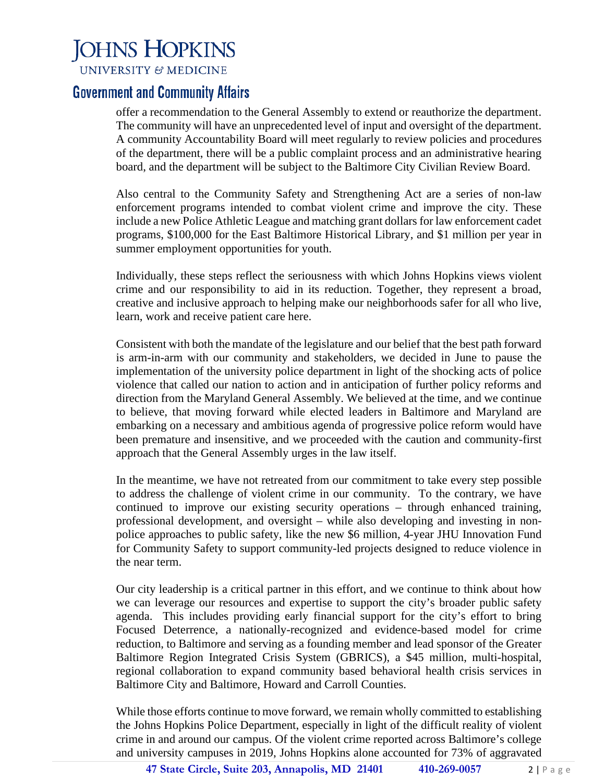## **JOHNS HOPKINS**

**UNIVERSITY & MEDICINE** 

#### **Government and Community Affairs**

offer a recommendation to the General Assembly to extend or reauthorize the department. The community will have an unprecedented level of input and oversight of the department. A community Accountability Board will meet regularly to review policies and procedures of the department, there will be a public complaint process and an administrative hearing board, and the department will be subject to the Baltimore City Civilian Review Board.

Also central to the Community Safety and Strengthening Act are a series of non-law enforcement programs intended to combat violent crime and improve the city. These include a new Police Athletic League and matching grant dollars for law enforcement cadet programs, \$100,000 for the East Baltimore Historical Library, and \$1 million per year in summer employment opportunities for youth.

Individually, these steps reflect the seriousness with which Johns Hopkins views violent crime and our responsibility to aid in its reduction. Together, they represent a broad, creative and inclusive approach to helping make our neighborhoods safer for all who live, learn, work and receive patient care here.

Consistent with both the mandate of the legislature and our belief that the best path forward is arm-in-arm with our community and stakeholders, we decided in June to pause the implementation of the university police department in light of the shocking acts of police violence that called our nation to action and in anticipation of further policy reforms and direction from the Maryland General Assembly. We believed at the time, and we continue to believe, that moving forward while elected leaders in Baltimore and Maryland are embarking on a necessary and ambitious agenda of progressive police reform would have been premature and insensitive, and we proceeded with the caution and community-first approach that the General Assembly urges in the law itself.

In the meantime, we have not retreated from our commitment to take every step possible to address the challenge of violent crime in our community. To the contrary, we have continued to improve our existing security operations – through enhanced training, professional development, and oversight – while also developing and investing in nonpolice approaches to public safety, like the new \$6 million, 4-year JHU Innovation Fund for Community Safety to support community-led projects designed to reduce violence in the near term.

Our city leadership is a critical partner in this effort, and we continue to think about how we can leverage our resources and expertise to support the city's broader public safety agenda. This includes providing early financial support for the city's effort to bring Focused Deterrence, a nationally-recognized and evidence-based model for crime reduction, to Baltimore and serving as a founding member and lead sponsor of the Greater Baltimore Region Integrated Crisis System (GBRICS), a \$45 million, multi-hospital, regional collaboration to expand community based behavioral health crisis services in Baltimore City and Baltimore, Howard and Carroll Counties.

While those efforts continue to move forward, we remain wholly committed to establishing the Johns Hopkins Police Department, especially in light of the difficult reality of violent crime in and around our campus. Of the violent crime reported across Baltimore's college and university campuses in 2019, Johns Hopkins alone accounted for 73% of aggravated